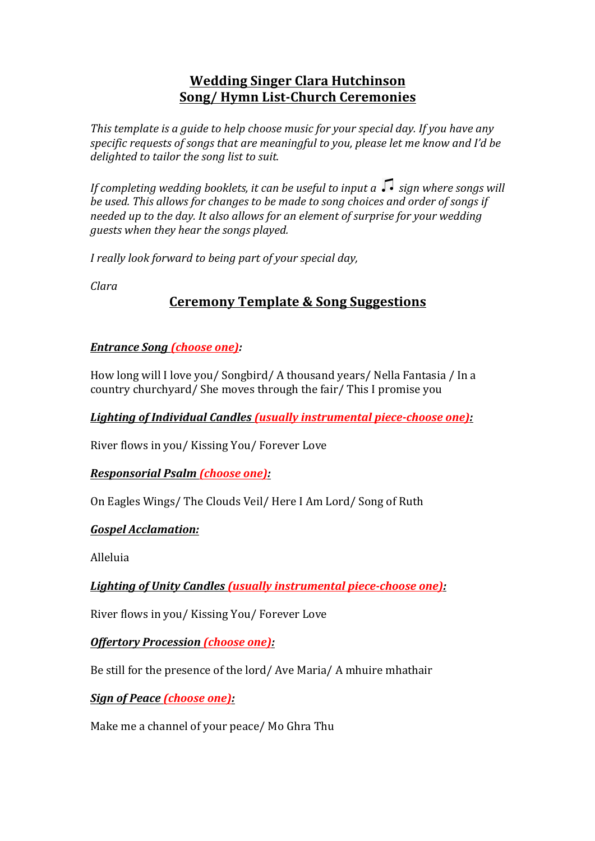## **Wedding Singer Clara Hutchinson Song/ Hymn List-Church Ceremonies**

This template is a quide to help choose music for your special day. If you have any *specific requests of songs that are meaningful to you, please let me know and I'd be* delighted to tailor the song list to suit.

*If completing wedding booklets, it can be useful to input a*  $\sqrt{\cdot}$  *sign where songs will be used.* This allows for changes to be made to song choices and order of songs if *needed up to the day. It also allows for an element of surprise for your wedding guests* when they hear the songs played.

*I* really look forward to being part of your special day,

*Clara*

# **Ceremony Template & Song Suggestions**

### *Entrance Song (choose one):*

How long will I love you/ Songbird/ A thousand years/ Nella Fantasia / In a country churchyard/ She moves through the fair/ This I promise you

Lighting of Individual Candles (usually instrumental piece-choose one):

River flows in you/ Kissing You/ Forever Love

#### *Responsorial Psalm (choose one):*

On Eagles Wings/ The Clouds Veil/ Here I Am Lord/ Song of Ruth

## *Gospel Acclamation:*

Alleluia

Lighting of Unity Candles (usually instrumental piece-choose one):

River flows in you/ Kissing You/ Forever Love

## *Offertory Procession (choose one):*

Be still for the presence of the lord/ Ave Maria/ A mhuire mhathair

*Sign of Peace (choose one):* 

Make me a channel of your peace/ Mo Ghra Thu